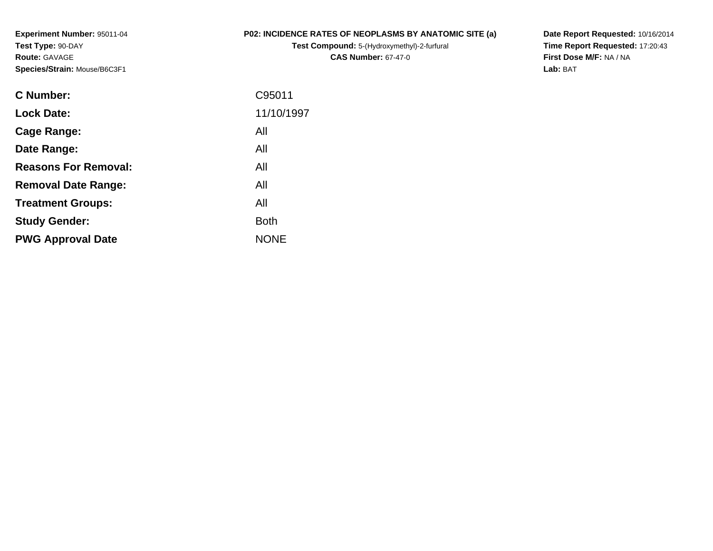**Experiment Number:** 95011-04**Test Type:** 90-DAY**Route:** GAVAGE**Species/Strain:** Mouse/B6C3F1

## **P02: INCIDENCE RATES OF NEOPLASMS BY ANATOMIC SITE (a)**

**Test Compound:** 5-(Hydroxymethyl)-2-furfural **CAS Number:** 67-47-0

**Date Report Requested:** 10/16/2014 **Time Report Requested:** 17:20:43**First Dose M/F:** NA / NA**Lab:** BAT

| C Number:                   | C95011      |
|-----------------------------|-------------|
| <b>Lock Date:</b>           | 11/10/1997  |
| Cage Range:                 | All         |
| Date Range:                 | All         |
| <b>Reasons For Removal:</b> | All         |
| <b>Removal Date Range:</b>  | All         |
| <b>Treatment Groups:</b>    | All         |
| <b>Study Gender:</b>        | <b>Both</b> |
| <b>PWG Approval Date</b>    | <b>NONE</b> |
|                             |             |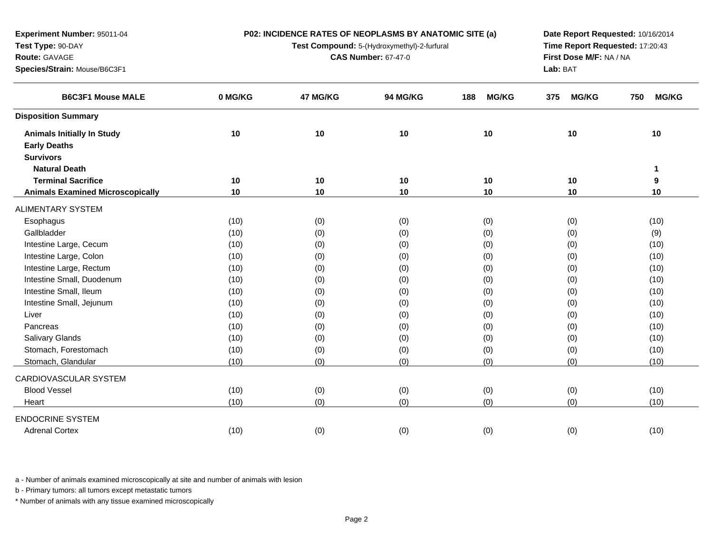**P02: INCIDENCE RATES OF NEOPLASMS BY ANATOMIC SITE (a)**

**Test Compound:** 5-(Hydroxymethyl)-2-furfural

**CAS Number:** 67-47-0

**Date Report Requested:** 10/16/2014**Time Report Requested:** 17:20:43**First Dose M/F:** NA / NA**Lab:** BAT

| <b>B6C3F1 Mouse MALE</b>                | 0 MG/KG | 47 MG/KG | 94 MG/KG | <b>MG/KG</b><br>188 | <b>MG/KG</b><br>375 | <b>MG/KG</b><br>750 |
|-----------------------------------------|---------|----------|----------|---------------------|---------------------|---------------------|
| <b>Disposition Summary</b>              |         |          |          |                     |                     |                     |
| <b>Animals Initially In Study</b>       | 10      | 10       | 10       | 10                  | 10                  | 10                  |
| <b>Early Deaths</b>                     |         |          |          |                     |                     |                     |
| <b>Survivors</b>                        |         |          |          |                     |                     |                     |
| <b>Natural Death</b>                    |         |          |          |                     |                     |                     |
| <b>Terminal Sacrifice</b>               | 10      | 10       | 10       | 10                  | 10                  | 9                   |
| <b>Animals Examined Microscopically</b> | 10      | 10       | 10       | 10                  | 10                  | 10                  |
| ALIMENTARY SYSTEM                       |         |          |          |                     |                     |                     |
| Esophagus                               | (10)    | (0)      | (0)      | (0)                 | (0)                 | (10)                |
| Gallbladder                             | (10)    | (0)      | (0)      | (0)                 | (0)                 | (9)                 |
| Intestine Large, Cecum                  | (10)    | (0)      | (0)      | (0)                 | (0)                 | (10)                |
| Intestine Large, Colon                  | (10)    | (0)      | (0)      | (0)                 | (0)                 | (10)                |
| Intestine Large, Rectum                 | (10)    | (0)      | (0)      | (0)                 | (0)                 | (10)                |
| Intestine Small, Duodenum               | (10)    | (0)      | (0)      | (0)                 | (0)                 | (10)                |
| Intestine Small, Ileum                  | (10)    | (0)      | (0)      | (0)                 | (0)                 | (10)                |
| Intestine Small, Jejunum                | (10)    | (0)      | (0)      | (0)                 | (0)                 | (10)                |
| Liver                                   | (10)    | (0)      | (0)      | (0)                 | (0)                 | (10)                |
| Pancreas                                | (10)    | (0)      | (0)      | (0)                 | (0)                 | (10)                |
| Salivary Glands                         | (10)    | (0)      | (0)      | (0)                 | (0)                 | (10)                |
| Stomach, Forestomach                    | (10)    | (0)      | (0)      | (0)                 | (0)                 | (10)                |
| Stomach, Glandular                      | (10)    | (0)      | (0)      | (0)                 | (0)                 | (10)                |
| CARDIOVASCULAR SYSTEM                   |         |          |          |                     |                     |                     |
| <b>Blood Vessel</b>                     | (10)    | (0)      | (0)      | (0)                 | (0)                 | (10)                |
| Heart                                   | (10)    | (0)      | (0)      | (0)                 | (0)                 | (10)                |
| <b>ENDOCRINE SYSTEM</b>                 |         |          |          |                     |                     |                     |
| <b>Adrenal Cortex</b>                   | (10)    | (0)      | (0)      | (0)                 | (0)                 | (10)                |

a - Number of animals examined microscopically at site and number of animals with lesion

b - Primary tumors: all tumors except metastatic tumors

**Experiment Number:** 95011-04

**Species/Strain:** Mouse/B6C3F1

**Test Type:** 90-DAY**Route:** GAVAGE

 $\overline{\phantom{0}}$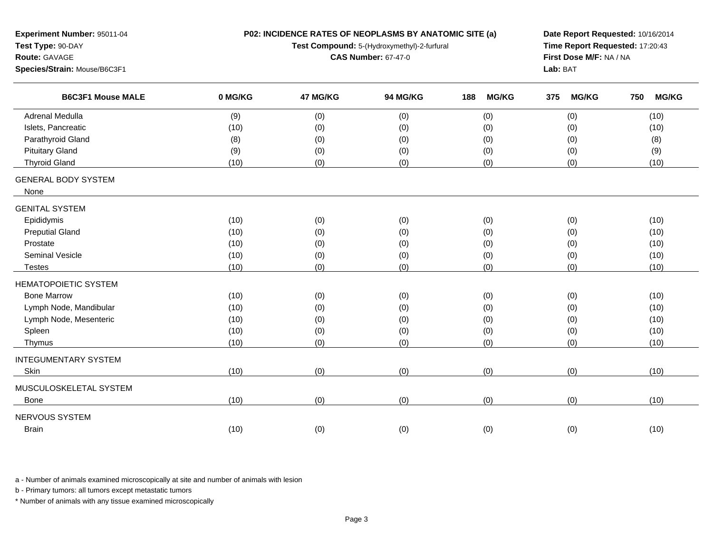| Experiment Number: 95011-04                                                        | P02: INCIDENCE RATES OF NEOPLASMS BY ANATOMIC SITE (a) |          |                                             |     |              |                                 | Date Report Requested: 10/16/2014 |     |              |  |  |
|------------------------------------------------------------------------------------|--------------------------------------------------------|----------|---------------------------------------------|-----|--------------|---------------------------------|-----------------------------------|-----|--------------|--|--|
| Test Type: 90-DAY                                                                  |                                                        |          | Test Compound: 5-(Hydroxymethyl)-2-furfural |     |              | Time Report Requested: 17:20:43 |                                   |     |              |  |  |
| Route: GAVAGE                                                                      |                                                        |          | <b>CAS Number: 67-47-0</b>                  |     |              |                                 | First Dose M/F: NA / NA           |     |              |  |  |
| Species/Strain: Mouse/B6C3F1<br><b>B6C3F1 Mouse MALE</b><br><b>Adrenal Medulla</b> |                                                        |          |                                             |     |              |                                 | Lab: BAT                          |     |              |  |  |
|                                                                                    | 0 MG/KG                                                | 47 MG/KG | 94 MG/KG                                    | 188 | <b>MG/KG</b> | 375                             | <b>MG/KG</b>                      | 750 | <b>MG/KG</b> |  |  |
|                                                                                    | (9)                                                    | (0)      | (0)                                         |     | (0)          |                                 | (0)                               |     | (10)         |  |  |
| Islets, Pancreatic                                                                 | (10)                                                   | (0)      | (0)                                         |     | (0)          |                                 | (0)                               |     | (10)         |  |  |
| Parathyroid Gland                                                                  | (8)                                                    | (0)      | (0)                                         |     | (0)          |                                 | (0)                               |     | (8)          |  |  |
| <b>Pituitary Gland</b>                                                             | (9)                                                    | (0)      | (0)                                         |     | (0)          |                                 | (0)                               |     | (9)          |  |  |
| <b>Thyroid Gland</b>                                                               | (10)                                                   | (0)      | (0)                                         |     | (0)          |                                 | (0)                               |     | (10)         |  |  |
| <b>GENERAL BODY SYSTEM</b><br>None                                                 |                                                        |          |                                             |     |              |                                 |                                   |     |              |  |  |
| <b>GENITAL SYSTEM</b>                                                              |                                                        |          |                                             |     |              |                                 |                                   |     |              |  |  |
| Epididymis                                                                         | (10)                                                   | (0)      | (0)                                         |     | (0)          |                                 | (0)                               |     | (10)         |  |  |
| <b>Preputial Gland</b>                                                             | (10)                                                   | (0)      | (0)                                         |     | (0)          |                                 | (0)                               |     | (10)         |  |  |
| Prostate                                                                           | (10)                                                   | (0)      | (0)                                         |     | (0)          |                                 | (0)                               |     | (10)         |  |  |
| Seminal Vesicle                                                                    | (10)                                                   | (0)      | (0)                                         |     | (0)          |                                 | (0)                               |     | (10)         |  |  |
| <b>Testes</b>                                                                      | (10)                                                   | (0)      | (0)                                         |     | (0)          |                                 | (0)                               |     | (10)         |  |  |
|                                                                                    |                                                        |          |                                             |     |              |                                 |                                   |     |              |  |  |
| <b>HEMATOPOIETIC SYSTEM</b>                                                        |                                                        |          |                                             |     |              |                                 |                                   |     |              |  |  |
| <b>Bone Marrow</b>                                                                 | (10)                                                   | (0)      | (0)                                         |     | (0)          |                                 | (0)                               |     | (10)         |  |  |
| Lymph Node, Mandibular                                                             | (10)                                                   | (0)      | (0)                                         |     | (0)          |                                 | (0)                               |     | (10)         |  |  |
| Lymph Node, Mesenteric                                                             | (10)                                                   | (0)      | (0)                                         |     | (0)          |                                 | (0)                               |     | (10)         |  |  |
| Spleen                                                                             | (10)                                                   | (0)      | (0)                                         |     | (0)          |                                 | (0)                               |     | (10)         |  |  |
| Thymus                                                                             | (10)                                                   | (0)      | (0)                                         |     | (0)          |                                 | (0)                               |     | (10)         |  |  |
| <b>INTEGUMENTARY SYSTEM</b>                                                        |                                                        |          |                                             |     |              |                                 |                                   |     |              |  |  |
| Skin                                                                               | (10)                                                   | (0)      | (0)                                         |     | (0)          |                                 | (0)                               |     | (10)         |  |  |
| MUSCULOSKELETAL SYSTEM                                                             |                                                        |          |                                             |     |              |                                 |                                   |     |              |  |  |
| Bone                                                                               | (10)                                                   | (0)      | (0)                                         |     | (0)          |                                 | (0)                               |     | (10)         |  |  |
| NERVOUS SYSTEM                                                                     |                                                        |          |                                             |     |              |                                 |                                   |     |              |  |  |
| <b>Brain</b>                                                                       | (10)                                                   | (0)      | (0)                                         |     | (0)          |                                 | (0)                               |     | (10)         |  |  |
|                                                                                    |                                                        |          |                                             |     |              |                                 |                                   |     |              |  |  |

b - Primary tumors: all tumors except metastatic tumors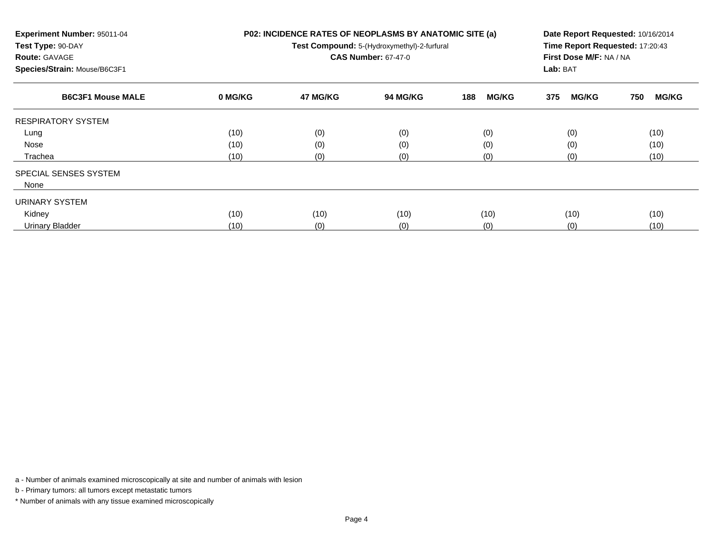| Experiment Number: 95011-04<br>Test Type: 90-DAY<br><b>Route: GAVAGE</b><br>Species/Strain: Mouse/B6C3F1 |         | P02: INCIDENCE RATES OF NEOPLASMS BY ANATOMIC SITE (a)<br>Test Compound: 5-(Hydroxymethyl)-2-furfural<br><b>CAS Number: 67-47-0</b> | Date Report Requested: 10/16/2014<br>Time Report Requested: 17:20:43<br>First Dose M/F: NA / NA<br>Lab: BAT |                     |                     |                     |
|----------------------------------------------------------------------------------------------------------|---------|-------------------------------------------------------------------------------------------------------------------------------------|-------------------------------------------------------------------------------------------------------------|---------------------|---------------------|---------------------|
| <b>B6C3F1 Mouse MALE</b>                                                                                 | 0 MG/KG | 47 MG/KG                                                                                                                            | <b>94 MG/KG</b>                                                                                             | 188<br><b>MG/KG</b> | <b>MG/KG</b><br>375 | <b>MG/KG</b><br>750 |
| <b>RESPIRATORY SYSTEM</b>                                                                                |         |                                                                                                                                     |                                                                                                             |                     |                     |                     |
| Lung                                                                                                     | (10)    | (0)                                                                                                                                 | (0)                                                                                                         | (0)                 | (0)                 | (10)                |
| Nose                                                                                                     | (10)    | (0)                                                                                                                                 | (0)                                                                                                         | (0)                 | (0)                 | (10)                |
| Trachea                                                                                                  | (10)    | (0)                                                                                                                                 | (0)                                                                                                         | (0)                 | (0)                 | (10)                |
| SPECIAL SENSES SYSTEM                                                                                    |         |                                                                                                                                     |                                                                                                             |                     |                     |                     |
| None                                                                                                     |         |                                                                                                                                     |                                                                                                             |                     |                     |                     |
| URINARY SYSTEM                                                                                           |         |                                                                                                                                     |                                                                                                             |                     |                     |                     |
| Kidney                                                                                                   | (10)    | (10)                                                                                                                                | (10)                                                                                                        | (10)                | (10)                | (10)                |
| <b>Urinary Bladder</b>                                                                                   | (10)    | (0)                                                                                                                                 | (0)                                                                                                         | (0)                 | (0)                 | (10)                |

b - Primary tumors: all tumors except metastatic tumors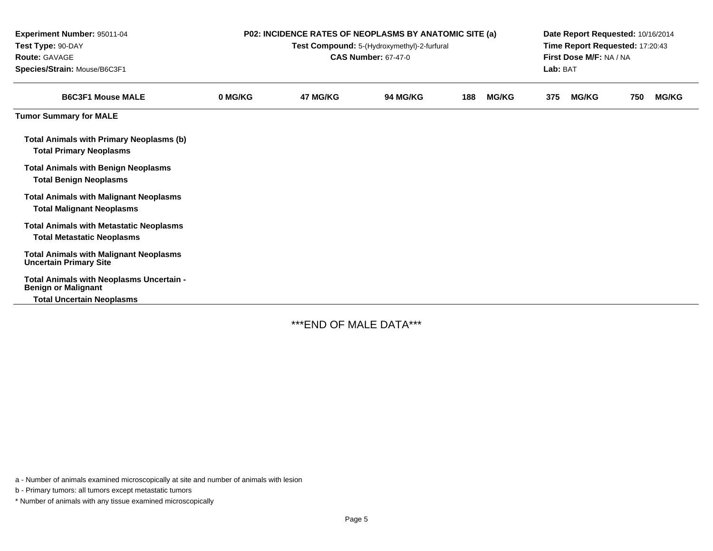| Experiment Number: 95011-04<br>Test Type: 90-DAY<br><b>Route: GAVAGE</b><br>Species/Strain: Mouse/B6C3F1 | <b>P02: INCIDENCE RATES OF NEOPLASMS BY ANATOMIC SITE (a)</b><br>Test Compound: 5-(Hydroxymethyl)-2-furfural<br><b>CAS Number: 67-47-0</b> |          |                 |     |              | Date Report Requested: 10/16/2014<br>Time Report Requested: 17:20:43<br>First Dose M/F: NA / NA<br>Lab: BAT |              |     |              |
|----------------------------------------------------------------------------------------------------------|--------------------------------------------------------------------------------------------------------------------------------------------|----------|-----------------|-----|--------------|-------------------------------------------------------------------------------------------------------------|--------------|-----|--------------|
| <b>B6C3F1 Mouse MALE</b>                                                                                 | 0 MG/KG                                                                                                                                    | 47 MG/KG | <b>94 MG/KG</b> | 188 | <b>MG/KG</b> | 375                                                                                                         | <b>MG/KG</b> | 750 | <b>MG/KG</b> |
| <b>Tumor Summary for MALE</b>                                                                            |                                                                                                                                            |          |                 |     |              |                                                                                                             |              |     |              |
| <b>Total Animals with Primary Neoplasms (b)</b><br><b>Total Primary Neoplasms</b>                        |                                                                                                                                            |          |                 |     |              |                                                                                                             |              |     |              |
| <b>Total Animals with Benign Neoplasms</b><br><b>Total Benign Neoplasms</b>                              |                                                                                                                                            |          |                 |     |              |                                                                                                             |              |     |              |
| <b>Total Animals with Malignant Neoplasms</b><br><b>Total Malignant Neoplasms</b>                        |                                                                                                                                            |          |                 |     |              |                                                                                                             |              |     |              |
| <b>Total Animals with Metastatic Neoplasms</b><br><b>Total Metastatic Neoplasms</b>                      |                                                                                                                                            |          |                 |     |              |                                                                                                             |              |     |              |
| <b>Total Animals with Malignant Neoplasms</b><br><b>Uncertain Primary Site</b>                           |                                                                                                                                            |          |                 |     |              |                                                                                                             |              |     |              |
| Total Animals with Neoplasms Uncertain -<br><b>Benign or Malignant</b>                                   |                                                                                                                                            |          |                 |     |              |                                                                                                             |              |     |              |
| <b>Total Uncertain Neoplasms</b>                                                                         |                                                                                                                                            |          |                 |     |              |                                                                                                             |              |     |              |

\*\*\*END OF MALE DATA\*\*\*

a - Number of animals examined microscopically at site and number of animals with lesion

b - Primary tumors: all tumors except metastatic tumors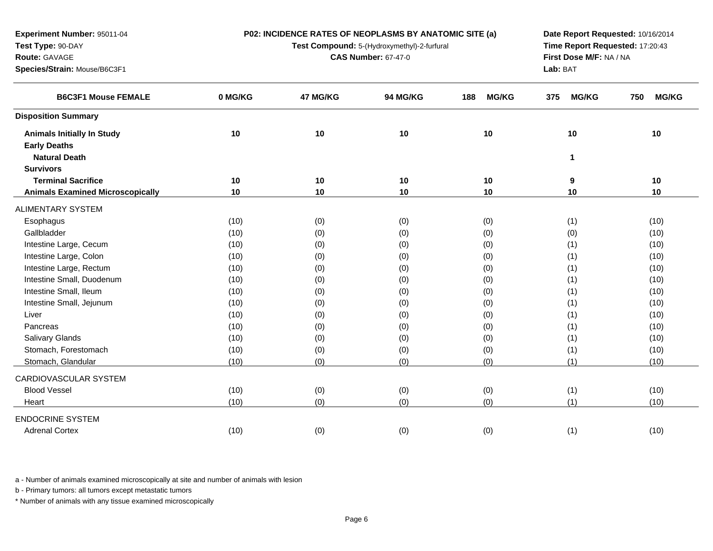**P02: INCIDENCE RATES OF NEOPLASMS BY ANATOMIC SITE (a)**

**Test Compound:** 5-(Hydroxymethyl)-2-furfural

**CAS Number:** 67-47-0

**Date Report Requested:** 10/16/2014**Time Report Requested:** 17:20:43**First Dose M/F:** NA / NA**Lab:** BAT

| <b>B6C3F1 Mouse FEMALE</b>              | 0 MG/KG | 47 MG/KG | 94 MG/KG | <b>MG/KG</b><br>188 | 375<br><b>MG/KG</b> | <b>MG/KG</b><br>750 |
|-----------------------------------------|---------|----------|----------|---------------------|---------------------|---------------------|
| <b>Disposition Summary</b>              |         |          |          |                     |                     |                     |
| <b>Animals Initially In Study</b>       | 10      | 10       | 10       | 10                  | 10                  | 10                  |
| <b>Early Deaths</b>                     |         |          |          |                     |                     |                     |
| <b>Natural Death</b>                    |         |          |          |                     | 1                   |                     |
| <b>Survivors</b>                        |         |          |          |                     |                     |                     |
| <b>Terminal Sacrifice</b>               | 10      | 10       | 10       | 10                  | 9                   | 10                  |
| <b>Animals Examined Microscopically</b> | 10      | 10       | 10       | 10                  | 10                  | 10                  |
| ALIMENTARY SYSTEM                       |         |          |          |                     |                     |                     |
| Esophagus                               | (10)    | (0)      | (0)      | (0)                 | (1)                 | (10)                |
| Gallbladder                             | (10)    | (0)      | (0)      | (0)                 | (0)                 | (10)                |
| Intestine Large, Cecum                  | (10)    | (0)      | (0)      | (0)                 | (1)                 | (10)                |
| Intestine Large, Colon                  | (10)    | (0)      | (0)      | (0)                 | (1)                 | (10)                |
| Intestine Large, Rectum                 | (10)    | (0)      | (0)      | (0)                 | (1)                 | (10)                |
| Intestine Small, Duodenum               | (10)    | (0)      | (0)      | (0)                 | (1)                 | (10)                |
| Intestine Small, Ileum                  | (10)    | (0)      | (0)      | (0)                 | (1)                 | (10)                |
| Intestine Small, Jejunum                | (10)    | (0)      | (0)      | (0)                 | (1)                 | (10)                |
| Liver                                   | (10)    | (0)      | (0)      | (0)                 | (1)                 | (10)                |
| Pancreas                                | (10)    | (0)      | (0)      | (0)                 | (1)                 | (10)                |
| Salivary Glands                         | (10)    | (0)      | (0)      | (0)                 | (1)                 | (10)                |
| Stomach, Forestomach                    | (10)    | (0)      | (0)      | (0)                 | (1)                 | (10)                |
| Stomach, Glandular                      | (10)    | (0)      | (0)      | (0)                 | (1)                 | (10)                |
| CARDIOVASCULAR SYSTEM                   |         |          |          |                     |                     |                     |
| <b>Blood Vessel</b>                     | (10)    | (0)      | (0)      | (0)                 | (1)                 | (10)                |
| Heart                                   | (10)    | (0)      | (0)      | (0)                 | (1)                 | (10)                |
| <b>ENDOCRINE SYSTEM</b>                 |         |          |          |                     |                     |                     |
| <b>Adrenal Cortex</b>                   | (10)    | (0)      | (0)      | (0)                 | (1)                 | (10)                |

a - Number of animals examined microscopically at site and number of animals with lesion

b - Primary tumors: all tumors except metastatic tumors

**Experiment Number:** 95011-04

**Species/Strain:** Mouse/B6C3F1

**Test Type:** 90-DAY**Route:** GAVAGE

 $\overline{\phantom{0}}$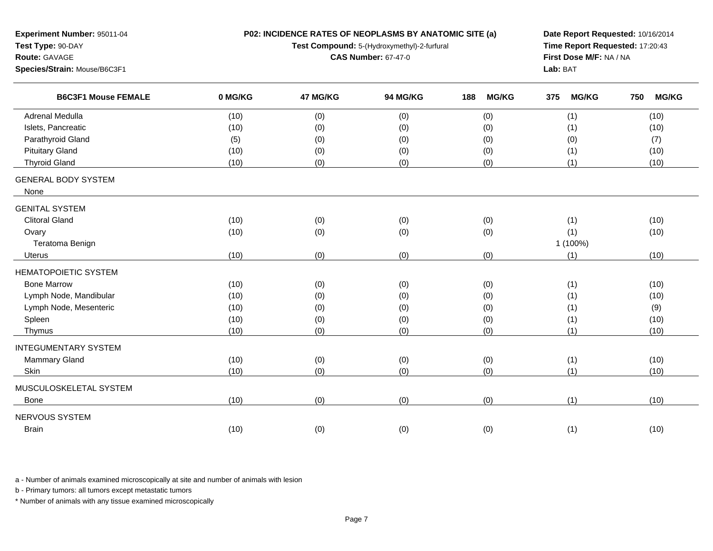| Experiment Number: 95011-04        |         | P02: INCIDENCE RATES OF NEOPLASMS BY ANATOMIC SITE (a) | Date Report Requested: 10/16/2014           |                     |                                 |                     |
|------------------------------------|---------|--------------------------------------------------------|---------------------------------------------|---------------------|---------------------------------|---------------------|
| Test Type: 90-DAY                  |         |                                                        | Test Compound: 5-(Hydroxymethyl)-2-furfural |                     | Time Report Requested: 17:20:43 |                     |
| Route: GAVAGE                      |         |                                                        | <b>CAS Number: 67-47-0</b>                  |                     | First Dose M/F: NA / NA         |                     |
| Species/Strain: Mouse/B6C3F1       |         |                                                        |                                             |                     | Lab: BAT                        |                     |
| <b>B6C3F1 Mouse FEMALE</b>         | 0 MG/KG | 47 MG/KG                                               | 94 MG/KG                                    | <b>MG/KG</b><br>188 | <b>MG/KG</b><br>375             | <b>MG/KG</b><br>750 |
| <b>Adrenal Medulla</b>             | (10)    | (0)                                                    | (0)                                         | (0)                 | (1)                             | (10)                |
| Islets, Pancreatic                 | (10)    | (0)                                                    | (0)                                         | (0)                 | (1)                             | (10)                |
| Parathyroid Gland                  | (5)     | (0)                                                    | (0)                                         | (0)                 | (0)                             | (7)                 |
| <b>Pituitary Gland</b>             | (10)    | (0)                                                    | (0)                                         | (0)                 | (1)                             | (10)                |
| <b>Thyroid Gland</b>               | (10)    | (0)                                                    | (0)                                         | (0)                 | (1)                             | (10)                |
| <b>GENERAL BODY SYSTEM</b><br>None |         |                                                        |                                             |                     |                                 |                     |
| <b>GENITAL SYSTEM</b>              |         |                                                        |                                             |                     |                                 |                     |
| <b>Clitoral Gland</b>              | (10)    |                                                        |                                             |                     | (1)                             | (10)                |
| Ovary                              | (10)    | (0)<br>(0)                                             | (0)<br>(0)                                  | (0)<br>(0)          | (1)                             | (10)                |
| Teratoma Benign                    |         |                                                        |                                             |                     | 1 (100%)                        |                     |
| <b>Uterus</b>                      | (10)    | (0)                                                    | (0)                                         | (0)                 | (1)                             | (10)                |
|                                    |         |                                                        |                                             |                     |                                 |                     |
| <b>HEMATOPOIETIC SYSTEM</b>        |         |                                                        |                                             |                     |                                 |                     |
| <b>Bone Marrow</b>                 | (10)    | (0)                                                    | (0)                                         | (0)                 | (1)                             | (10)                |
| Lymph Node, Mandibular             | (10)    | (0)                                                    | (0)                                         | (0)                 | (1)                             | (10)                |
| Lymph Node, Mesenteric             | (10)    | (0)                                                    | (0)                                         | (0)                 | (1)                             | (9)                 |
| Spleen                             | (10)    | (0)                                                    | (0)                                         | (0)                 | (1)                             | (10)                |
| Thymus                             | (10)    | (0)                                                    | (0)                                         | (0)                 | (1)                             | (10)                |
| <b>INTEGUMENTARY SYSTEM</b>        |         |                                                        |                                             |                     |                                 |                     |
| Mammary Gland                      | (10)    | (0)                                                    | (0)                                         | (0)                 | (1)                             | (10)                |
| Skin                               | (10)    | (0)                                                    | (0)                                         | (0)                 | (1)                             | (10)                |
| MUSCULOSKELETAL SYSTEM             |         |                                                        |                                             |                     |                                 |                     |
| <b>Bone</b>                        | (10)    | (0)                                                    | (0)                                         | (0)                 | (1)                             | (10)                |
| NERVOUS SYSTEM                     |         |                                                        |                                             |                     |                                 |                     |
| Brain                              | (10)    | (0)                                                    | (0)                                         | (0)                 | (1)                             | (10)                |
|                                    |         |                                                        |                                             |                     |                                 |                     |

b - Primary tumors: all tumors except metastatic tumors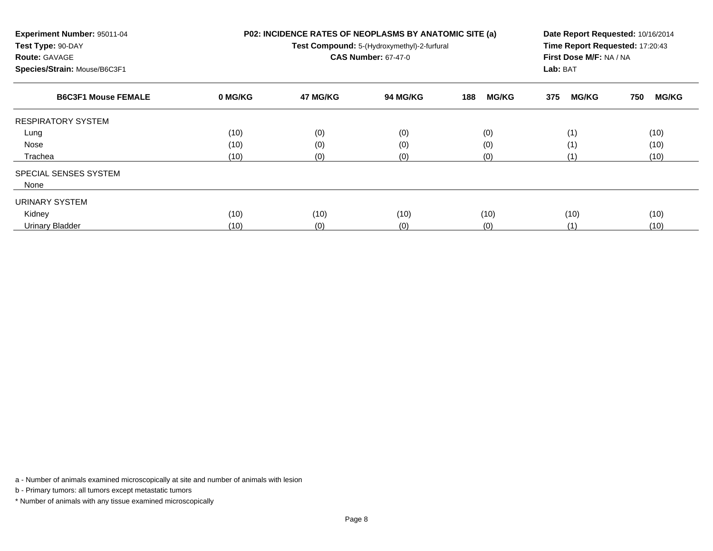| Experiment Number: 95011-04<br>Test Type: 90-DAY<br><b>Route: GAVAGE</b><br>Species/Strain: Mouse/B6C3F1 |         | P02: INCIDENCE RATES OF NEOPLASMS BY ANATOMIC SITE (a)<br>Test Compound: 5-(Hydroxymethyl)-2-furfural<br><b>CAS Number: 67-47-0</b> | Date Report Requested: 10/16/2014<br>Time Report Requested: 17:20:43<br>First Dose M/F: NA / NA<br>Lab: BAT |                     |                     |                     |
|----------------------------------------------------------------------------------------------------------|---------|-------------------------------------------------------------------------------------------------------------------------------------|-------------------------------------------------------------------------------------------------------------|---------------------|---------------------|---------------------|
| <b>B6C3F1 Mouse FEMALE</b>                                                                               | 0 MG/KG | 47 MG/KG                                                                                                                            | <b>94 MG/KG</b>                                                                                             | 188<br><b>MG/KG</b> | <b>MG/KG</b><br>375 | <b>MG/KG</b><br>750 |
| <b>RESPIRATORY SYSTEM</b>                                                                                |         |                                                                                                                                     |                                                                                                             |                     |                     |                     |
| Lung                                                                                                     | (10)    | (0)                                                                                                                                 | (0)                                                                                                         | (0)                 | (1)                 | (10)                |
| Nose                                                                                                     | (10)    | (0)                                                                                                                                 | (0)                                                                                                         | (0)                 | (1)                 | (10)                |
| Trachea                                                                                                  | (10)    | (0)                                                                                                                                 | (0)                                                                                                         | (0)                 | (1)                 | (10)                |
| SPECIAL SENSES SYSTEM                                                                                    |         |                                                                                                                                     |                                                                                                             |                     |                     |                     |
| None                                                                                                     |         |                                                                                                                                     |                                                                                                             |                     |                     |                     |
| URINARY SYSTEM                                                                                           |         |                                                                                                                                     |                                                                                                             |                     |                     |                     |
| Kidney                                                                                                   | (10)    | (10)                                                                                                                                | (10)                                                                                                        | (10)                | (10)                | (10)                |
| <b>Urinary Bladder</b>                                                                                   | (10)    | (0)                                                                                                                                 | (0)                                                                                                         | (0)                 | (1)                 | (10)                |

b - Primary tumors: all tumors except metastatic tumors